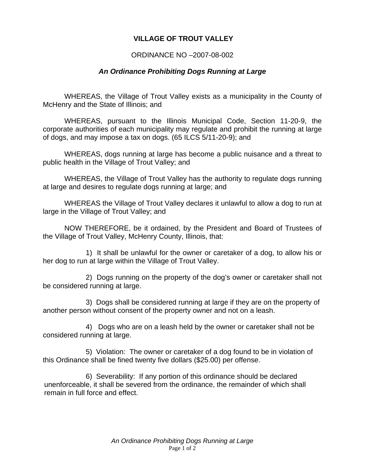## **VILLAGE OF TROUT VALLEY**

## ORDINANCE NO –2007-08-002

## *An Ordinance Prohibiting Dogs Running at Large*

WHEREAS, the Village of Trout Valley exists as a municipality in the County of McHenry and the State of Illinois; and

WHEREAS, pursuant to the Illinois Municipal Code, Section 11-20-9, the corporate authorities of each municipality may regulate and prohibit the running at large of dogs, and may impose a tax on dogs. (65 ILCS 5/11-20-9); and

WHEREAS, dogs running at large has become a public nuisance and a threat to public health in the Village of Trout Valley; and

WHEREAS, the Village of Trout Valley has the authority to regulate dogs running at large and desires to regulate dogs running at large; and

WHEREAS the Village of Trout Valley declares it unlawful to allow a dog to run at large in the Village of Trout Valley; and

NOW THEREFORE, be it ordained, by the President and Board of Trustees of the Village of Trout Valley, McHenry County, Illinois, that:

 1) It shall be unlawful for the owner or caretaker of a dog, to allow his or her dog to run at large within the Village of Trout Valley.

 2) Dogs running on the property of the dog's owner or caretaker shall not be considered running at large.

 3) Dogs shall be considered running at large if they are on the property of another person without consent of the property owner and not on a leash.

 4) Dogs who are on a leash held by the owner or caretaker shall not be considered running at large.

 5) Violation: The owner or caretaker of a dog found to be in violation of this Ordinance shall be fined twenty five dollars (\$25.00) per offense.

 6) Severability: If any portion of this ordinance should be declared unenforceable, it shall be severed from the ordinance, the remainder of which shall remain in full force and effect.